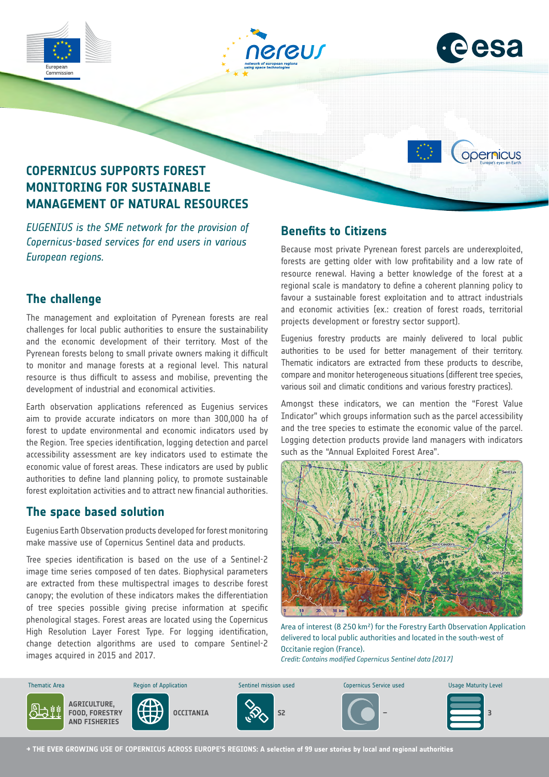







# **COPERNICUS SUPPORTS FOREST MONITORING FOR SUSTAINABLE MANAGEMENT OF NATURAL RESOURCES**

*EUGENIUS is the SME network for the provision of Copernicus-based services for end users in various European regions.*

## **The challenge**

The management and exploitation of Pyrenean forests are real challenges for local public authorities to ensure the sustainability and the economic development of their territory. Most of the Pyrenean forests belong to small private owners making it difficult to monitor and manage forests at a regional level. This natural resource is thus difficult to assess and mobilise, preventing the development of industrial and economical activities.

Earth observation applications referenced as Eugenius services aim to provide accurate indicators on more than 300,000 ha of forest to update environmental and economic indicators used by the Region. Tree species identification, logging detection and parcel accessibility assessment are key indicators used to estimate the economic value of forest areas. These indicators are used by public authorities to define land planning policy, to promote sustainable forest exploitation activities and to attract new financial authorities.

#### **The space based solution**

Eugenius Earth Observation products developed for forest monitoring make massive use of Copernicus Sentinel data and products.

Tree species identification is based on the use of a Sentinel-2 image time series composed of ten dates. Biophysical parameters are extracted from these multispectral images to describe forest canopy; the evolution of these indicators makes the differentiation of tree species possible giving precise information at specific phenological stages. Forest areas are located using the Copernicus High Resolution Layer Forest Type. For logging identification, change detection algorithms are used to compare Sentinel-2 images acquired in 2015 and 2017.

# **Benefits to Citizens**

Because most private Pyrenean forest parcels are underexploited, forests are getting older with low profitability and a low rate of resource renewal. Having a better knowledge of the forest at a regional scale is mandatory to define a coherent planning policy to favour a sustainable forest exploitation and to attract industrials and economic activities (ex.: creation of forest roads, territorial projects development or forestry sector support).

Eugenius forestry products are mainly delivered to local public authorities to be used for better management of their territory. Thematic indicators are extracted from these products to describe, compare and monitor heterogeneous situations (different tree species, various soil and climatic conditions and various forestry practices).

Amongst these indicators, we can mention the "Forest Value Indicator" which groups information such as the parcel accessibility and the tree species to estimate the economic value of the parcel. Logging detection products provide land managers with indicators such as the "Annual Exploited Forest Area".



Area of interest (8 250 km²) for the Forestry Earth Observation Application delivered to local public authorities and located in the south-west of Occitanie region (France). *Credit: Contains modified Copernicus Sentinel data [2017]*



**→ THE EVER GROWING USE OF COPERNICUS ACROSS EUROPE'S REGIONS: A selection of 99 user stories by local and regional authorities**